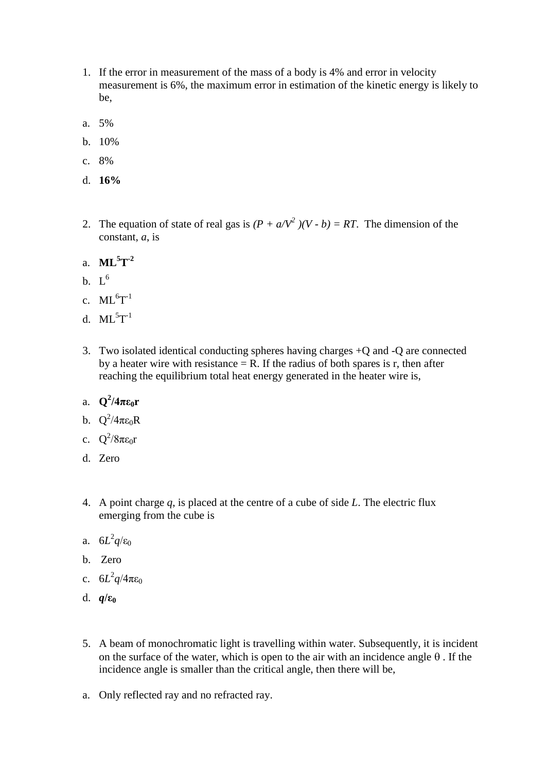- 1. If the error in measurement of the mass of a body is 4% and error in velocity measurement is 6%, the maximum error in estimation of the kinetic energy is likely to be,
- a. 5%
- b. 10%
- c. 8%
- d. **16%**
- 2. The equation of state of real gas is  $(P + a/V^2)/(V b) = RT$ . The dimension of the constant, *a*, is
- a. **ML<sup>5</sup>T -2**
- b.  $L^6$
- c.  $ML^{6}T^{-1}$
- d.  $ML^5T^{-1}$
- 3. Two isolated identical conducting spheres having charges +Q and -Q are connected by a heater wire with resistance  $= R$ . If the radius of both spares is r, then after reaching the equilibrium total heat energy generated in the heater wire is,
- a.  $Q^2/4\pi\epsilon_0 r$
- b.  $Q^2/4\pi\epsilon_0 R$
- c.  $Q^2/8\pi\epsilon_0 r$
- d. Zero
- 4. A point charge *q*, is placed at the centre of a cube of side *L*. The electric flux emerging from the cube is
- a.  $6L^2q/\epsilon_0$
- b. Zero
- c.  $6L^2q/4\pi\epsilon_0$
- d. *q***/ε<sup>0</sup>**
- 5. A beam of monochromatic light is travelling within water. Subsequently, it is incident on the surface of the water, which is open to the air with an incidence angle  $\theta$ . If the incidence angle is smaller than the critical angle, then there will be,
- a. Only reflected ray and no refracted ray.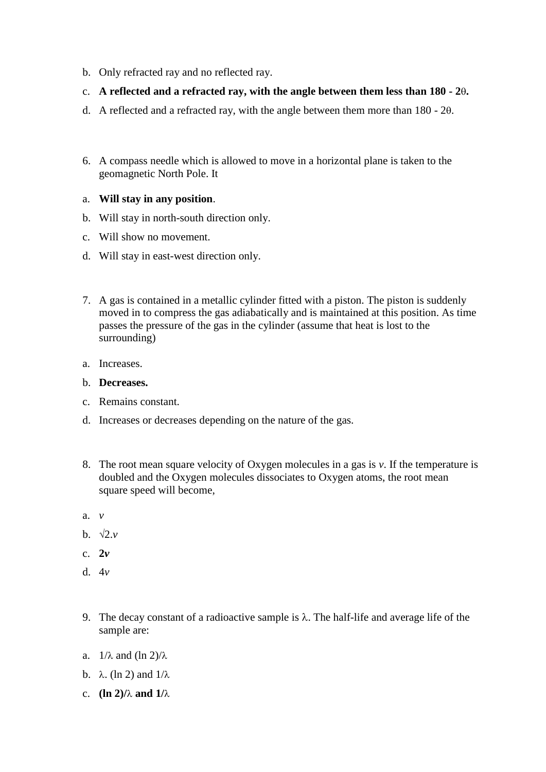- b. Only refracted ray and no reflected ray.
- c. **A reflected and a refracted ray, with the angle between them less than 180 - 2.**
- d. A reflected and a refracted ray, with the angle between them more than  $180 20$ .
- 6. A compass needle which is allowed to move in a horizontal plane is taken to the geomagnetic North Pole. It

## a. **Will stay in any position**.

- b. Will stay in north-south direction only.
- c. Will show no movement.
- d. Will stay in east-west direction only.
- 7. A gas is contained in a metallic cylinder fitted with a piston. The piston is suddenly moved in to compress the gas adiabatically and is maintained at this position. As time passes the pressure of the gas in the cylinder (assume that heat is lost to the surrounding)
- a. Increases.
- b. **Decreases.**
- c. Remains constant.
- d. Increases or decreases depending on the nature of the gas.
- 8. The root mean square velocity of Oxygen molecules in a gas is *v*. If the temperature is doubled and the Oxygen molecules dissociates to Oxygen atoms, the root mean square speed will become,
- a. *v*
- **b**.  $\sqrt{2}$ *v*
- c. **2***v*
- d. 4*v*
- 9. The decay constant of a radioactive sample is  $\lambda$ . The half-life and average life of the sample are:
- a.  $1/\lambda$  and  $(\ln 2)/\lambda$
- b.  $\lambda$ . (ln 2) and  $1/\lambda$
- c. **(ln 2)** $/\lambda$  and  $1/\lambda$